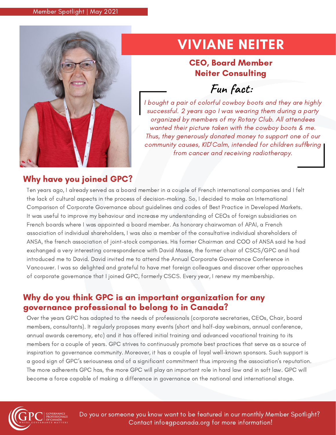

## VIVIANE NEITER

## CEO, Board Member Neiter Consulting

## **Fun fact:**

I bought a pair of colorful cowboy boots and they are highly successful. 2 years ago I was wearing them during a party organized by members of my Rotary Club. All attendees wanted their picture taken with the cowboy boots & me. Thus, they generously donated money to support one of our community causes, KID'Calm, intended for children suffering *!*from cancer and receiving radiotherapy.

## Why have you joined GPC?

Ten years ago, I already served as a board member in a couple of French international companies and I felt the lack of cultural aspects in the process of decision-making. So, I decided to make an International Comparison of Corporate Governance about guidelines and codes of Best Practice in Developed Markets. It was useful to improve my behaviour and increase my understanding of CEOs of foreign subsidiaries on French boards where I was appointed a board member. As honorary chairwoman of APAI, a French association of individual shareholders, I was also a member of the consultative individual shareholders of ANSA, the french association of joint-stock companies. His former Chairman and COO of ANSA said he had exchanged a very interesting correspondence with David Masse, the former chair of CSCS/GPC and had introduced me to David. David invited me to attend the Annual Corporate Governance Conference in Vancouver. I was so delighted and grateful to have met foreign colleagues and discover other approaches of corporate governance that I joined GPC, formerly CSCS. Every year, I renew my membership.

## Why do you think GPC is an important organization for any governance professional to belong to in Canada?

Over the years GPC has adapted to the needs of professionals (corporate secretaries, CEOs, Chair, board members, consultants). It regularly proposes many events (short and half-day webinars, annual conference, annual awards ceremony, etc) and it has offered initial training and advanced vocational training to its members for a couple of years. GPC strives to continuously promote best practices that serve as a source of inspiration to governance community. Moreover, it has a couple of loyal well-known sponsors. Such support is a good sign of GPC's seriousness and of a significant commitment thus improving the association's reputation. The more adherents GPC has, the more GPC will play an important role in hard law and in soft law. GPC will become a force capable of making a difference in governance on the national and international stage.



Do you or someone you know want to be featured in our monthly Member Spotlight? Contact info@gpcanada.org for more information!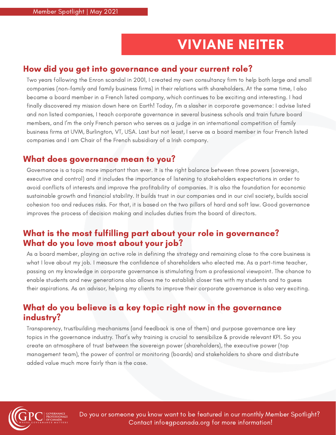## VIVIANE NEITER

### How did you get into governance and your current role?

Two years following the Enron scandal in 2001, I created my own consultancy firm to help both large and small companies (non-family and family business firms) in their relations with shareholders. At the same time, I also became a board member in a French listed company, which continues to be exciting and interesting. I had finally discovered my mission down here on Earth! Today, I'm a slasher in corporate governance: I advise listed and non listed companies, I teach corporate governance in several business schools and train future board members, and I'm the only French person who serves as a judge in an international competition of family business firms at UVM, Burlington, VT, USA. Last but not least, I serve as a board member in four French listed companies and I am Chair of the French subsidiary of a Irish company.

#### What does governance mean to you?

Governance is a topic more important than ever. It is the right balance between three powers (sovereign, executive and control) and it includes the importance of listening to stakeholders expectations in order to avoid conflicts of interests and improve the profitability of companies. It is also the foundation for economic sustainable growth and financial stability. It builds trust in our companies and in our civil society, builds social cohesion too and reduces risks. For that, it is based on the two pillars of hard and soft law. Good governance improves the process of decision making and includes duties from the board of directors.

## What is the most fulfilling part about your role in governance? What do you love most about your job?

As a board member, playing an active role in defining the strategy and remaining close to the core business is what I love about my job. I measure the confidence of shareholders who elected me. As a part-time teacher, passing on my knowledge in corporate governance is stimulating from a professional viewpoint. The chance to enable students and new generations also allows me to establish closer ties with my students and to guess their aspirations. As an advisor, helping my clients to improve their corporate governance is also very exciting.

### What do you believe is a key topic right now in the governance industry?

Transparency, trustbuilding mechanisms (and feedback is one of them) and purpose governance are key topics in the governance industry. That's why training is crucial to sensibilize & provide relevant KPI. So you create an atmosphere of trust between the sovereign power (shareholders), the executive power (top management team), the power of control or monitoring (boards) and stakeholders to share and distribute added value much more fairly than is the case.



Do you or someone you know want to be featured in our monthly Member Spotlight? Contact info@gpcanada.org for more information!